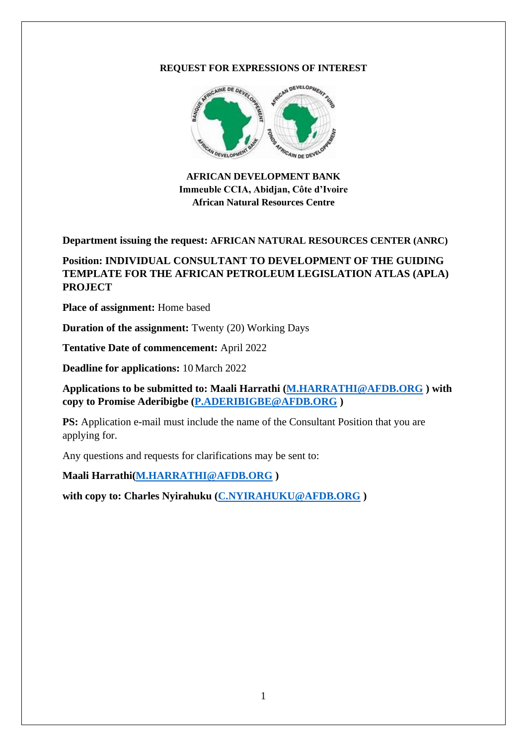### **REQUEST FOR EXPRESSIONS OF INTEREST**



**AFRICAN DEVELOPMENT BANK Immeuble CCIA, Abidjan, Côte d'Ivoire African Natural Resources Centre**

**Department issuing the request: AFRICAN NATURAL RESOURCES CENTER (ANRC)**

## **Position: INDIVIDUAL CONSULTANT TO DEVELOPMENT OF THE GUIDING TEMPLATE FOR THE AFRICAN PETROLEUM LEGISLATION ATLAS (APLA) PROJECT**

**Place of assignment:** Home based

**Duration of the assignment:** Twenty (20) Working Days

**Tentative Date of commencement:** April 2022

**Deadline for applications:** 10 March 2022

**Applications to be submitted to: Maali Harrathi [\(M.HARRATHI@AFDB.ORG](mailto:M.HARRATHI@AFDB.ORG) ) with copy to Promise Aderibigbe [\(P.ADERIBIGBE@AFDB.ORG](mailto:P.ADERIBIGBE@AFDB.ORG) )**

**PS:** Application e-mail must include the name of the Consultant Position that you are applying for.

Any questions and requests for clarifications may be sent to:

**Maali Harrathi[\(M.HARRATHI@AFDB.ORG](mailto:M.HARRATHI@AFDB.ORG) )** 

**with copy to: Charles Nyirahuku [\(C.NYIRAHUKU@AFDB.ORG](mailto:C.NYIRAHUKU@AFDB.ORG) )**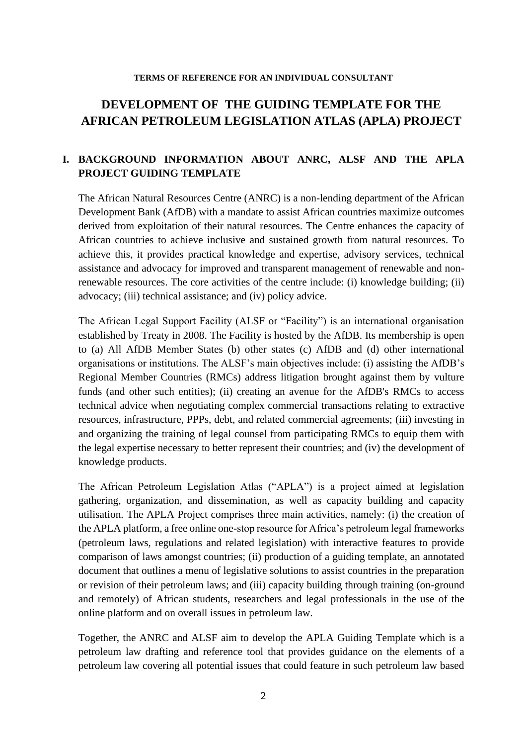#### **TERMS OF REFERENCE FOR AN INDIVIDUAL CONSULTANT**

# **DEVELOPMENT OF THE GUIDING TEMPLATE FOR THE AFRICAN PETROLEUM LEGISLATION ATLAS (APLA) PROJECT**

## **I. BACKGROUND INFORMATION ABOUT ANRC, ALSF AND THE APLA PROJECT GUIDING TEMPLATE**

The African Natural Resources Centre (ANRC) is a non-lending department of the African Development Bank (AfDB) with a mandate to assist African countries maximize outcomes derived from exploitation of their natural resources. The Centre enhances the capacity of African countries to achieve inclusive and sustained growth from natural resources. To achieve this, it provides practical knowledge and expertise, advisory services, technical assistance and advocacy for improved and transparent management of renewable and nonrenewable resources. The core activities of the centre include: (i) knowledge building; (ii) advocacy; (iii) technical assistance; and (iv) policy advice.

The African Legal Support Facility (ALSF or "Facility") is an international organisation established by Treaty in 2008. The Facility is hosted by the AfDB. Its membership is open to (a) All AfDB Member States (b) other states (c) AfDB and (d) other international organisations or institutions. The ALSF's main objectives include: (i) assisting the AfDB's Regional Member Countries (RMCs) address litigation brought against them by vulture funds (and other such entities); (ii) creating an avenue for the AfDB's RMCs to access technical advice when negotiating complex commercial transactions relating to extractive resources, infrastructure, PPPs, debt, and related commercial agreements; (iii) investing in and organizing the training of legal counsel from participating RMCs to equip them with the legal expertise necessary to better represent their countries; and (iv) the development of knowledge products.

The African Petroleum Legislation Atlas ("APLA") is a project aimed at legislation gathering, organization, and dissemination, as well as capacity building and capacity utilisation. The APLA Project comprises three main activities, namely: (i) the creation of the APLA platform, a free online one-stop resource for Africa's petroleum legal frameworks (petroleum laws, regulations and related legislation) with interactive features to provide comparison of laws amongst countries; (ii) production of a guiding template, an annotated document that outlines a menu of legislative solutions to assist countries in the preparation or revision of their petroleum laws; and (iii) capacity building through training (on-ground and remotely) of African students, researchers and legal professionals in the use of the online platform and on overall issues in petroleum law.

Together, the ANRC and ALSF aim to develop the APLA Guiding Template which is a petroleum law drafting and reference tool that provides guidance on the elements of a petroleum law covering all potential issues that could feature in such petroleum law based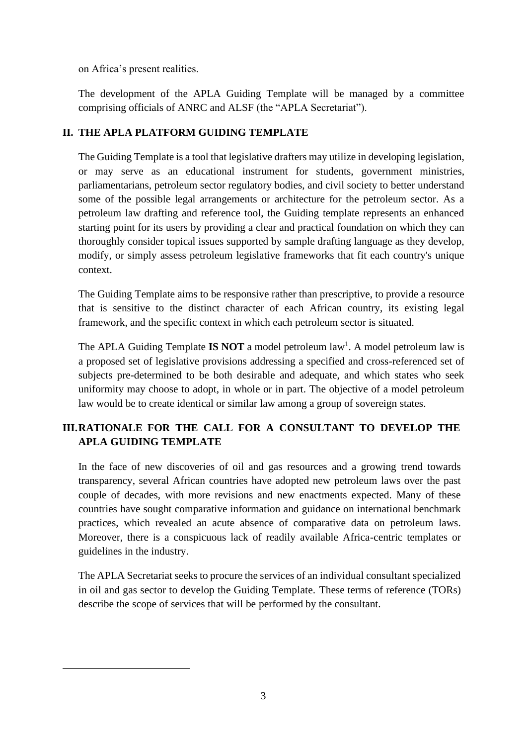on Africa's present realities.

The development of the APLA Guiding Template will be managed by a committee comprising officials of ANRC and ALSF (the "APLA Secretariat").

## **II. THE APLA PLATFORM GUIDING TEMPLATE**

The Guiding Template is a tool that legislative drafters may utilize in developing legislation, or may serve as an educational instrument for students, government ministries, parliamentarians, petroleum sector regulatory bodies, and civil society to better understand some of the possible legal arrangements or architecture for the petroleum sector. As a petroleum law drafting and reference tool, the Guiding template represents an enhanced starting point for its users by providing a clear and practical foundation on which they can thoroughly consider topical issues supported by sample drafting language as they develop, modify, or simply assess petroleum legislative frameworks that fit each country's unique context.

The Guiding Template aims to be responsive rather than prescriptive, to provide a resource that is sensitive to the distinct character of each African country, its existing legal framework, and the specific context in which each petroleum sector is situated.

The APLA Guiding Template **IS NOT** a model petroleum law<sup>1</sup>. A model petroleum law is a proposed set of legislative provisions addressing a specified and cross-referenced set of subjects pre-determined to be both desirable and adequate, and which states who seek uniformity may choose to adopt, in whole or in part. The objective of a model petroleum law would be to create identical or similar law among a group of sovereign states.

## **III.RATIONALE FOR THE CALL FOR A CONSULTANT TO DEVELOP THE APLA GUIDING TEMPLATE**

In the face of new discoveries of oil and gas resources and a growing trend towards transparency, several African countries have adopted new petroleum laws over the past couple of decades, with more revisions and new enactments expected. Many of these countries have sought comparative information and guidance on international benchmark practices, which revealed an acute absence of comparative data on petroleum laws. Moreover, there is a conspicuous lack of readily available Africa-centric templates or guidelines in the industry.

The APLA Secretariat seeks to procure the services of an individual consultant specialized in oil and gas sector to develop the Guiding Template. These terms of reference (TORs) describe the scope of services that will be performed by the consultant.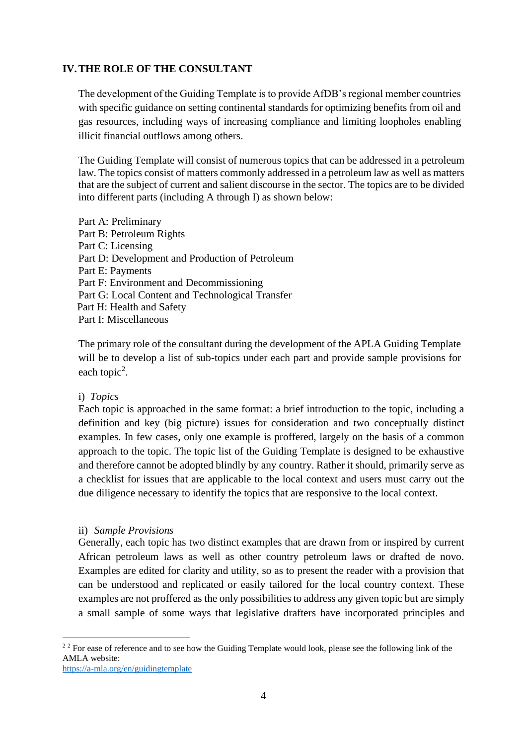### **IV.THE ROLE OF THE CONSULTANT**

The development of the Guiding Template is to provide AfDB's regional member countries with specific guidance on setting continental standards for optimizing benefits from oil and gas resources, including ways of increasing compliance and limiting loopholes enabling illicit financial outflows among others.

The Guiding Template will consist of numerous topics that can be addressed in a petroleum law. The topics consist of matters commonly addressed in a petroleum law as well as matters that are the subject of current and salient discourse in the sector. The topics are to be divided into different parts (including A through I) as shown below:

Part A: Preliminary Part B: Petroleum Rights Part C: Licensing Part D: Development and Production of Petroleum Part E: Payments Part F: Environment and Decommissioning Part G: Local Content and Technological Transfer Part H: Health and Safety Part I: Miscellaneous

The primary role of the consultant during the development of the APLA Guiding Template will be to develop a list of sub-topics under each part and provide sample provisions for each topic<sup>2</sup>.

### i) *Topics*

Each topic is approached in the same format: a brief introduction to the topic, including a definition and key (big picture) issues for consideration and two conceptually distinct examples. In few cases, only one example is proffered, largely on the basis of a common approach to the topic. The topic list of the Guiding Template is designed to be exhaustive and therefore cannot be adopted blindly by any country. Rather it should, primarily serve as a checklist for issues that are applicable to the local context and users must carry out the due diligence necessary to identify the topics that are responsive to the local context.

### ii) *Sample Provisions*

Generally, each topic has two distinct examples that are drawn from or inspired by current African petroleum laws as well as other country petroleum laws or drafted de novo. Examples are edited for clarity and utility, so as to present the reader with a provision that can be understood and replicated or easily tailored for the local country context. These examples are not proffered as the only possibilities to address any given topic but are simply a small sample of some ways that legislative drafters have incorporated principles and

<sup>22</sup> For ease of reference and to see how the Guiding Template would look, please see the following link of the AMLA website:

<https://a-mla.org/en/guidingtemplate>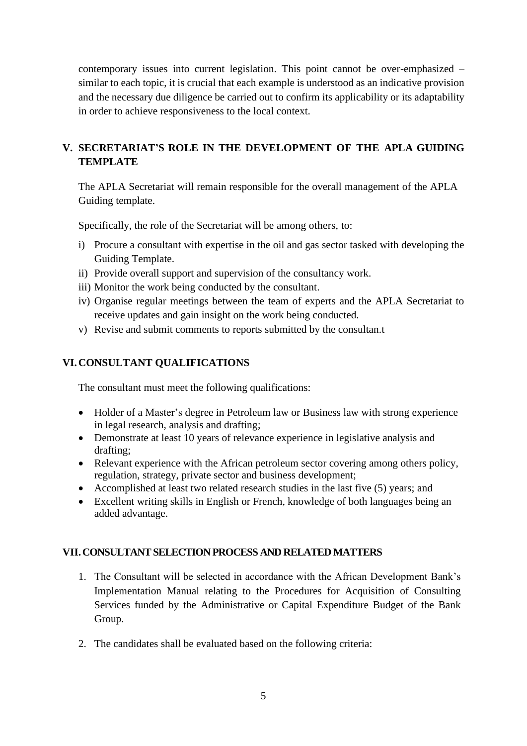contemporary issues into current legislation. This point cannot be over-emphasized – similar to each topic, it is crucial that each example is understood as an indicative provision and the necessary due diligence be carried out to confirm its applicability or its adaptability in order to achieve responsiveness to the local context.

## **V. SECRETARIAT'S ROLE IN THE DEVELOPMENT OF THE APLA GUIDING TEMPLATE**

The APLA Secretariat will remain responsible for the overall management of the APLA Guiding template.

Specifically, the role of the Secretariat will be among others, to:

- i) Procure a consultant with expertise in the oil and gas sector tasked with developing the Guiding Template.
- ii) Provide overall support and supervision of the consultancy work.
- iii) Monitor the work being conducted by the consultant.
- iv) Organise regular meetings between the team of experts and the APLA Secretariat to receive updates and gain insight on the work being conducted.
- v) Revise and submit comments to reports submitted by the consultan.t

## **VI.CONSULTANT QUALIFICATIONS**

The consultant must meet the following qualifications:

- Holder of a Master's degree in Petroleum law or Business law with strong experience in legal research, analysis and drafting;
- Demonstrate at least 10 years of relevance experience in legislative analysis and drafting;
- Relevant experience with the African petroleum sector covering among others policy, regulation, strategy, private sector and business development;
- Accomplished at least two related research studies in the last five (5) years; and
- Excellent writing skills in English or French, knowledge of both languages being an added advantage.

## **VII.CONSULTANT SELECTION PROCESS AND RELATED MATTERS**

- 1. The Consultant will be selected in accordance with the African Development Bank's Implementation Manual relating to the Procedures for Acquisition of Consulting Services funded by the Administrative or Capital Expenditure Budget of the Bank Group.
- 2. The candidates shall be evaluated based on the following criteria: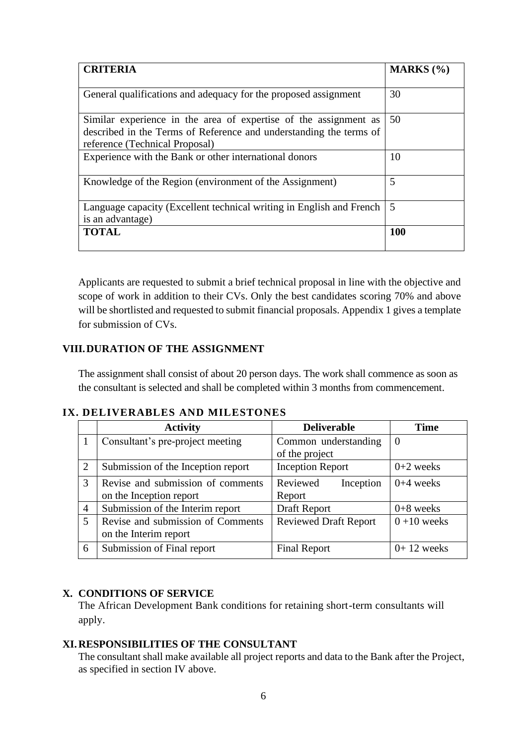| <b>CRITERIA</b>                                                                                      | MARKS $(\% )$ |  |
|------------------------------------------------------------------------------------------------------|---------------|--|
|                                                                                                      |               |  |
| General qualifications and adequacy for the proposed assignment                                      | 30            |  |
| Similar experience in the area of expertise of the assignment as                                     | 50            |  |
| described in the Terms of Reference and understanding the terms of<br>reference (Technical Proposal) |               |  |
| Experience with the Bank or other international donors                                               | 10            |  |
| Knowledge of the Region (environment of the Assignment)                                              | 5             |  |
| Language capacity (Excellent technical writing in English and French                                 | 5             |  |
| is an advantage)                                                                                     |               |  |
| <b>TOTAL</b>                                                                                         | <b>100</b>    |  |

Applicants are requested to submit a brief technical proposal in line with the objective and scope of work in addition to their CVs. Only the best candidates scoring 70% and above will be shortlisted and requested to submit financial proposals. Appendix 1 gives a template for submission of CVs.

### **VIII.DURATION OF THE ASSIGNMENT**

The assignment shall consist of about 20 person days. The work shall commence as soon as the consultant is selected and shall be completed within 3 months from commencement.

### **IX. DELIVERABLES AND MILESTONES**

|                | <b>Activity</b><br><b>Deliverable</b> |                              | <b>Time</b>  |  |
|----------------|---------------------------------------|------------------------------|--------------|--|
|                | Consultant's pre-project meeting      | Common understanding         | $\theta$     |  |
|                |                                       | of the project               |              |  |
| 2              | Submission of the Inception report    | <b>Inception Report</b>      | $0+2$ weeks  |  |
| 3              | Revise and submission of comments     | Reviewed<br>Inception        | $0+4$ weeks  |  |
|                | on the Inception report               | Report                       |              |  |
| $\overline{A}$ | Submission of the Interim report      | Draft Report                 | $0+8$ weeks  |  |
| 5              | Revise and submission of Comments     | <b>Reviewed Draft Report</b> | $0+10$ weeks |  |
|                | on the Interim report                 |                              |              |  |
| 6              | Submission of Final report            | <b>Final Report</b>          | $0+12$ weeks |  |

### **X. CONDITIONS OF SERVICE**

The African Development Bank conditions for retaining short-term consultants will apply.

### **XI.RESPONSIBILITIES OF THE CONSULTANT**

The consultant shall make available all project reports and data to the Bank after the Project, as specified in section IV above.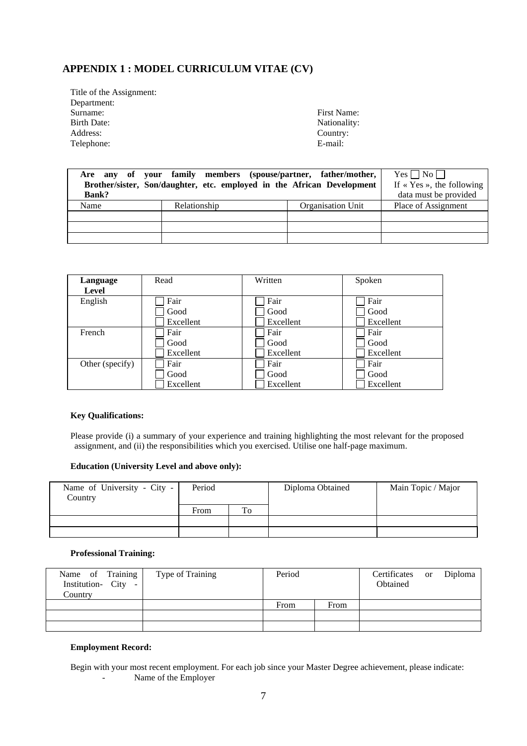## **APPENDIX 1 : MODEL CURRICULUM VITAE (CV)**

Title of the Assignment: Department:<br>Surname: Surname: First Name: First Name: First Name: First Name: Part of the State of the State of the State of the State of the State of the State of the State of the State of the State of the State of the State of the State of t Address: Country<br>Telephone: E-mail: Telephone:

Nationality:<br>Country:

| <b>Bank?</b> | Are any of your family members (spouse/partner, father/mother,<br>Brother/sister, Son/daughter, etc. employed in the African Development |                   | $Yes \Box No \Box$<br>If $\ltimes$ Yes », the following<br>data must be provided |
|--------------|------------------------------------------------------------------------------------------------------------------------------------------|-------------------|----------------------------------------------------------------------------------|
| Name         | Relationship                                                                                                                             | Organisation Unit | Place of Assignment                                                              |
|              |                                                                                                                                          |                   |                                                                                  |
|              |                                                                                                                                          |                   |                                                                                  |
|              |                                                                                                                                          |                   |                                                                                  |

| Language        | Read      | Written   | Spoken    |  |
|-----------------|-----------|-----------|-----------|--|
| Level           |           |           |           |  |
| English         | Fair      | Fair      | Fair      |  |
|                 | Good      | Good      | Good      |  |
|                 | Excellent | Excellent | Excellent |  |
| French          | Fair      | Fair      | Fair      |  |
|                 | Good      | Good      | Good      |  |
|                 | Excellent | Excellent | Excellent |  |
| Other (specify) | Fair      | Fair      | Fair      |  |
|                 | Good      | Good      | Good      |  |
|                 | Excellent | Excellent | Excellent |  |

#### **Key Qualifications:**

Please provide (i) a summary of your experience and training highlighting the most relevant for the proposed assignment, and (ii) the responsibilities which you exercised. Utilise one half-page maximum.

#### **Education (University Level and above only):**

| Name of University - City -<br>Country | Period |    | Diploma Obtained | Main Topic / Major |  |  |
|----------------------------------------|--------|----|------------------|--------------------|--|--|
|                                        | From   | To |                  |                    |  |  |
|                                        |        |    |                  |                    |  |  |
|                                        |        |    |                  |                    |  |  |

#### **Professional Training:**

| Name of Training<br>Institution- City -<br>Country | Type of Training | Period |      | Certificates or Diploma<br>Obtained |  |
|----------------------------------------------------|------------------|--------|------|-------------------------------------|--|
|                                                    |                  | From   | From |                                     |  |
|                                                    |                  |        |      |                                     |  |
|                                                    |                  |        |      |                                     |  |

#### **Employment Record:**

Begin with your most recent employment. For each job since your Master Degree achievement, please indicate: - Name of the Employer